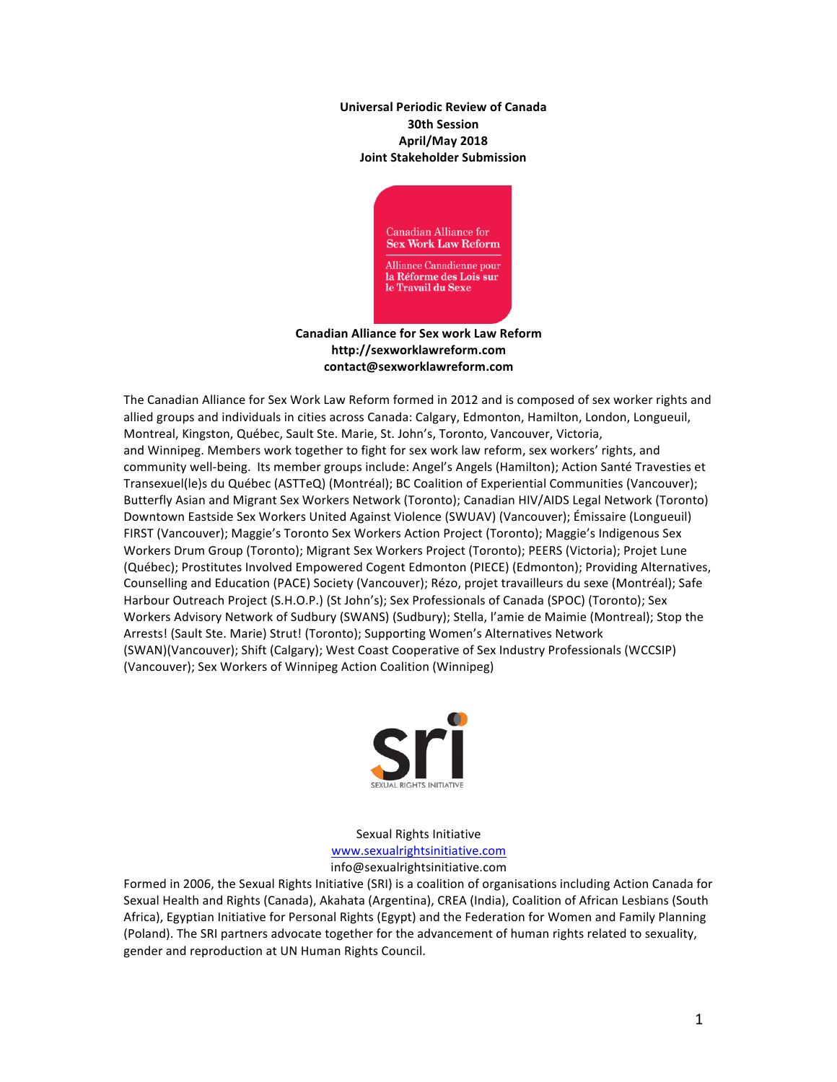**Universal Periodic Review of Canada 30th Session April/May 2018 Joint Stakeholder Submission**



**Canadian Alliance for Sex work Law Reform http://sexworklawreform.com contact@sexworklawreform.com**

The Canadian Alliance for Sex Work Law Reform formed in 2012 and is composed of sex worker rights and allied groups and individuals in cities across Canada: Calgary, Edmonton, Hamilton, London, Longueuil, Montreal, Kingston, Québec, Sault Ste. Marie, St. John's, Toronto, Vancouver, Victoria, and Winnipeg. Members work together to fight for sex work law reform, sex workers' rights, and community well-being. Its member groups include: Angel's Angels (Hamilton); Action Santé Travesties et Transexuel(le)s du Québec (ASTTeQ) (Montréal); BC Coalition of Experiential Communities (Vancouver); Butterfly Asian and Migrant Sex Workers Network (Toronto); Canadian HIV/AIDS Legal Network (Toronto) Downtown Eastside Sex Workers United Against Violence (SWUAV) (Vancouver); Émissaire (Longueuil) FIRST (Vancouver); Maggie's Toronto Sex Workers Action Project (Toronto); Maggie's Indigenous Sex Workers Drum Group (Toronto); Migrant Sex Workers Project (Toronto); PEERS (Victoria); Projet Lune (Québec); Prostitutes Involved Empowered Cogent Edmonton (PIECE) (Edmonton); Providing Alternatives, Counselling and Education (PACE) Society (Vancouver); Rézo, projet travailleurs du sexe (Montréal); Safe Harbour Outreach Project (S.H.O.P.) (St John's); Sex Professionals of Canada (SPOC) (Toronto); Sex Workers Advisory Network of Sudbury (SWANS) (Sudbury); Stella, l'amie de Maimie (Montreal); Stop the Arrests! (Sault Ste. Marie) Strut! (Toronto); Supporting Women's Alternatives Network (SWAN)(Vancouver); Shift (Calgary); West Coast Cooperative of Sex Industry Professionals (WCCSIP) (Vancouver); Sex Workers of Winnipeg Action Coalition (Winnipeg)



Sexual Rights Initiative www.sexualrightsinitiative.com info@sexualrightsinitiative.com

Formed in 2006, the Sexual Rights Initiative (SRI) is a coalition of organisations including Action Canada for Sexual Health and Rights (Canada), Akahata (Argentina), CREA (India), Coalition of African Lesbians (South Africa), Egyptian Initiative for Personal Rights (Egypt) and the Federation for Women and Family Planning (Poland). The SRI partners advocate together for the advancement of human rights related to sexuality, gender and reproduction at UN Human Rights Council.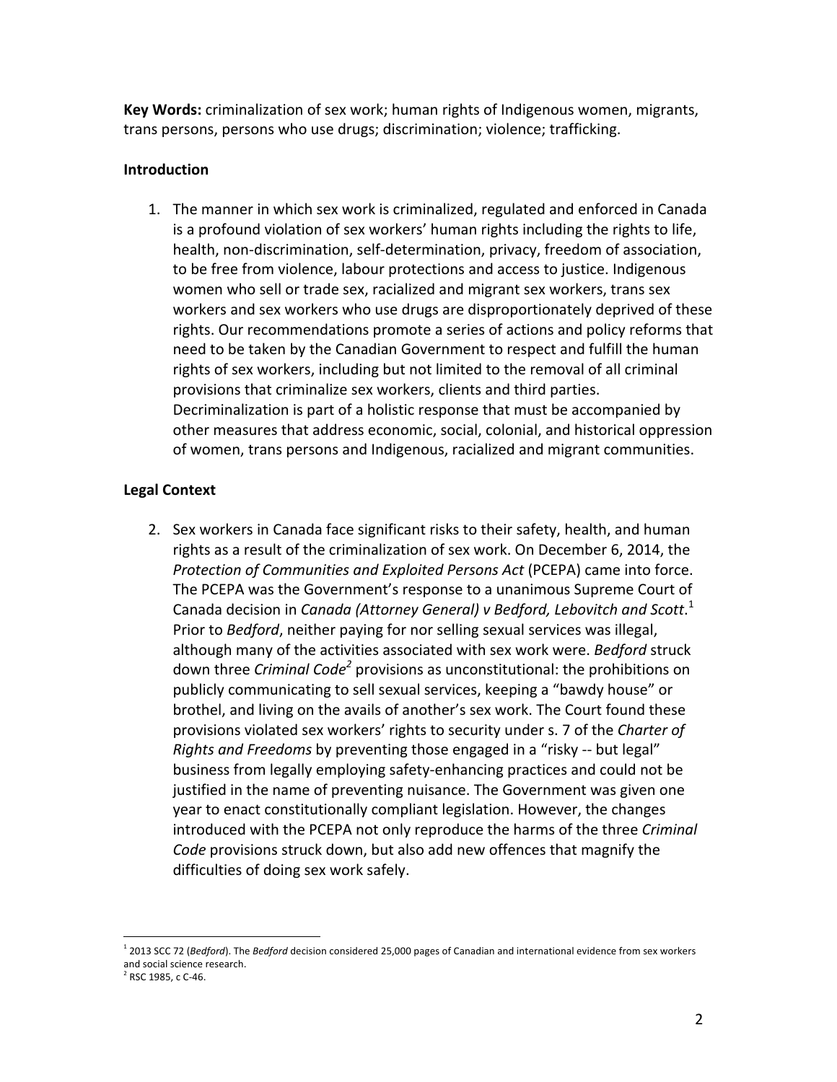**Key Words:** criminalization of sex work; human rights of Indigenous women, migrants, trans persons, persons who use drugs; discrimination; violence; trafficking.

# **Introduction**

1. The manner in which sex work is criminalized, regulated and enforced in Canada is a profound violation of sex workers' human rights including the rights to life, health, non-discrimination, self-determination, privacy, freedom of association, to be free from violence, labour protections and access to justice. Indigenous women who sell or trade sex, racialized and migrant sex workers, trans sex workers and sex workers who use drugs are disproportionately deprived of these rights. Our recommendations promote a series of actions and policy reforms that need to be taken by the Canadian Government to respect and fulfill the human rights of sex workers, including but not limited to the removal of all criminal provisions that criminalize sex workers, clients and third parties. Decriminalization is part of a holistic response that must be accompanied by other measures that address economic, social, colonial, and historical oppression of women, trans persons and Indigenous, racialized and migrant communities.

# **Legal Context**

2. Sex workers in Canada face significant risks to their safety, health, and human rights as a result of the criminalization of sex work. On December 6, 2014, the *Protection of Communities and Exploited Persons Act* (PCEPA) came into force. The PCEPA was the Government's response to a unanimous Supreme Court of Canada decision in *Canada (Attorney General) v Bedford, Lebovitch and Scott*.<sup>1</sup> Prior to *Bedford*, neither paying for nor selling sexual services was illegal, although many of the activities associated with sex work were. *Bedford* struck down three *Criminal Code<sup>2</sup>* provisions as unconstitutional: the prohibitions on publicly communicating to sell sexual services, keeping a "bawdy house" or brothel, and living on the avails of another's sex work. The Court found these provisions violated sex workers' rights to security under s. 7 of the *Charter of Rights and Freedoms* by preventing those engaged in a "risky -- but legal" business from legally employing safety-enhancing practices and could not be justified in the name of preventing nuisance. The Government was given one year to enact constitutionally compliant legislation. However, the changes introduced with the PCEPA not only reproduce the harms of the three *Criminal Code* provisions struck down, but also add new offences that magnify the difficulties of doing sex work safely.

 

<sup>&</sup>lt;sup>1</sup> 2013 SCC 72 (*Bedford*). The *Bedford* decision considered 25,000 pages of Canadian and international evidence from sex workers and social science research.

 $2$  RSC 1985, c C-46.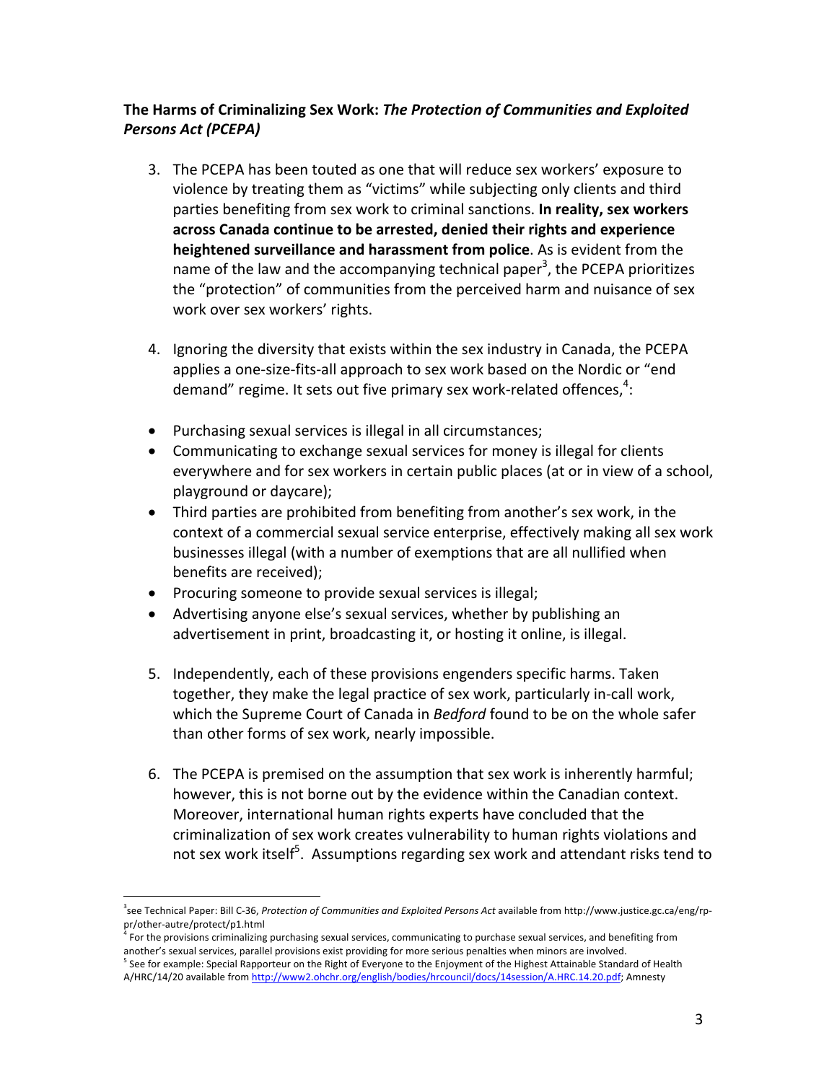# The Harms of Criminalizing Sex Work: The Protection of Communities and Exploited *Persons Act (PCEPA)*

- 3. The PCEPA has been touted as one that will reduce sex workers' exposure to violence by treating them as "victims" while subjecting only clients and third parties benefiting from sex work to criminal sanctions. In reality, sex workers across Canada continue to be arrested, denied their rights and experience **heightened surveillance and harassment from police**. As is evident from the name of the law and the accompanying technical paper<sup>3</sup>, the PCEPA prioritizes the "protection" of communities from the perceived harm and nuisance of sex work over sex workers' rights.
- 4. Ignoring the diversity that exists within the sex industry in Canada, the PCEPA applies a one-size-fits-all approach to sex work based on the Nordic or "end demand" regime. It sets out five primary sex work-related offences, $^4$ :
- Purchasing sexual services is illegal in all circumstances;
- Communicating to exchange sexual services for money is illegal for clients everywhere and for sex workers in certain public places (at or in view of a school, playground or daycare);
- Third parties are prohibited from benefiting from another's sex work, in the context of a commercial sexual service enterprise, effectively making all sex work businesses illegal (with a number of exemptions that are all nullified when benefits are received);
- Procuring someone to provide sexual services is illegal;
- Advertising anyone else's sexual services, whether by publishing an advertisement in print, broadcasting it, or hosting it online, is illegal.
- 5. Independently, each of these provisions engenders specific harms. Taken together, they make the legal practice of sex work, particularly in-call work, which the Supreme Court of Canada in *Bedford* found to be on the whole safer than other forms of sex work, nearly impossible.
- 6. The PCEPA is premised on the assumption that sex work is inherently harmful; however, this is not borne out by the evidence within the Canadian context. Moreover, international human rights experts have concluded that the criminalization of sex work creates vulnerability to human rights violations and not sex work itself $^5$ . Assumptions regarding sex work and attendant risks tend to

 <sup>3</sup>see Technical Paper: Bill C-36, *Protection of Communities and Exploited Persons Act* available from http://www.justice.gc.ca/eng/rppr/other-autre/protect/p1.html

For the provisions criminalizing purchasing sexual services, communicating to purchase sexual services, and benefiting from another's sexual services, parallel provisions exist providing for more serious penalties when minors are involved.

See for example: Special Rapporteur on the Right of Everyone to the Enjoyment of the Highest Attainable Standard of Health A/HRC/14/20 available from http://www2.ohchr.org/english/bodies/hrcouncil/docs/14session/A.HRC.14.20.pdf; Amnesty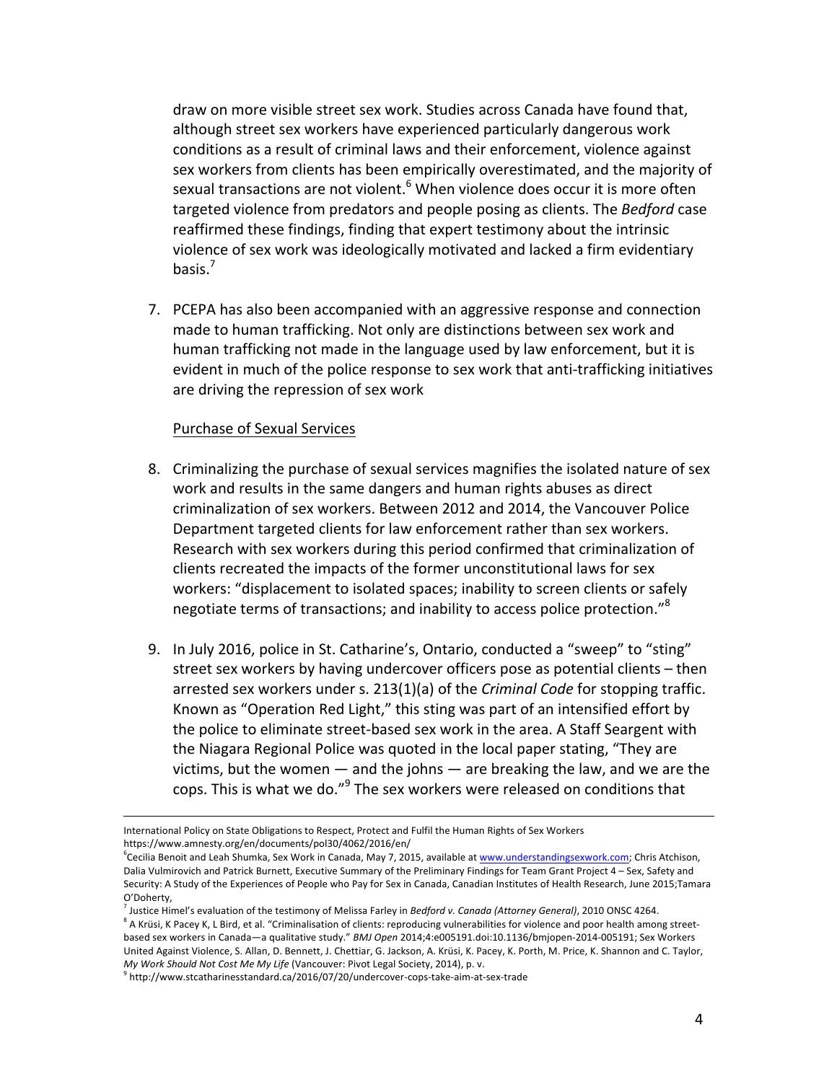draw on more visible street sex work. Studies across Canada have found that, although street sex workers have experienced particularly dangerous work conditions as a result of criminal laws and their enforcement, violence against sex workers from clients has been empirically overestimated, and the majority of sexual transactions are not violent.<sup>6</sup> When violence does occur it is more often targeted violence from predators and people posing as clients. The Bedford case reaffirmed these findings, finding that expert testimony about the intrinsic violence of sex work was ideologically motivated and lacked a firm evidentiary basis. $<sup>7</sup>$ </sup>

7. PCEPA has also been accompanied with an aggressive response and connection made to human trafficking. Not only are distinctions between sex work and human trafficking not made in the language used by law enforcement, but it is evident in much of the police response to sex work that anti-trafficking initiatives are driving the repression of sex work

## Purchase of Sexual Services

- 8. Criminalizing the purchase of sexual services magnifies the isolated nature of sex work and results in the same dangers and human rights abuses as direct criminalization of sex workers. Between 2012 and 2014, the Vancouver Police Department targeted clients for law enforcement rather than sex workers. Research with sex workers during this period confirmed that criminalization of clients recreated the impacts of the former unconstitutional laws for sex workers: "displacement to isolated spaces; inability to screen clients or safely negotiate terms of transactions; and inability to access police protection."<sup>8</sup>
- 9. In July 2016, police in St. Catharine's, Ontario, conducted a "sweep" to "sting" street sex workers by having undercover officers pose as potential clients – then arrested sex workers under s. 213(1)(a) of the *Criminal Code* for stopping traffic. Known as "Operation Red Light," this sting was part of an intensified effort by the police to eliminate street-based sex work in the area. A Staff Seargent with the Niagara Regional Police was quoted in the local paper stating, "They are victims, but the women  $-$  and the johns  $-$  are breaking the law, and we are the cops. This is what we do."<sup>9</sup> The sex workers were released on conditions that

<u> 1989 - Andrea San Andrea San Andrea San Andrea San Andrea San Andrea San Andrea San Andrea San Andrea San An</u>

International Policy on State Obligations to Respect, Protect and Fulfil the Human Rights of Sex Workers https://www.amnesty.org/en/documents/pol30/4062/2016/en/

<sup>&</sup>lt;sup>6</sup>Cecilia Benoit and Leah Shumka, Sex Work in Canada, May 7, 2015, available at <u>www.understandingsexwork.com</u>; Chris Atchison, Dalia Vulmirovich and Patrick Burnett, Executive Summary of the Preliminary Findings for Team Grant Project 4 - Sex, Safety and Security: A Study of the Experiences of People who Pay for Sex in Canada, Canadian Institutes of Health Research, June 2015;Tamara O'Doherty,

<sup>&</sup>lt;sup>7</sup> Justice Himel's evaluation of the testimony of Melissa Farley in *Bedford v. Canada (Attorney General)*, 2010 ONSC 4264.

 $8$  A Krüsi, K Pacey K, L Bird, et al. "Criminalisation of clients: reproducing vulnerabilities for violence and poor health among streetbased sex workers in Canada—a qualitative study." *BMJ Open* 2014;4:e005191.doi:10.1136/bmjopen-2014-005191; Sex Workers United Against Violence, S. Allan, D. Bennett, J. Chettiar, G. Jackson, A. Krüsi, K. Pacey, K. Porth, M. Price, K. Shannon and C. Taylor, *My Work Should Not Cost Me My Life* (Vancouver: Pivot Legal Society, 2014), p. v.

<sup>9</sup> http://www.stcatharinesstandard.ca/2016/07/20/undercover-cops-take-aim-at-sex-trade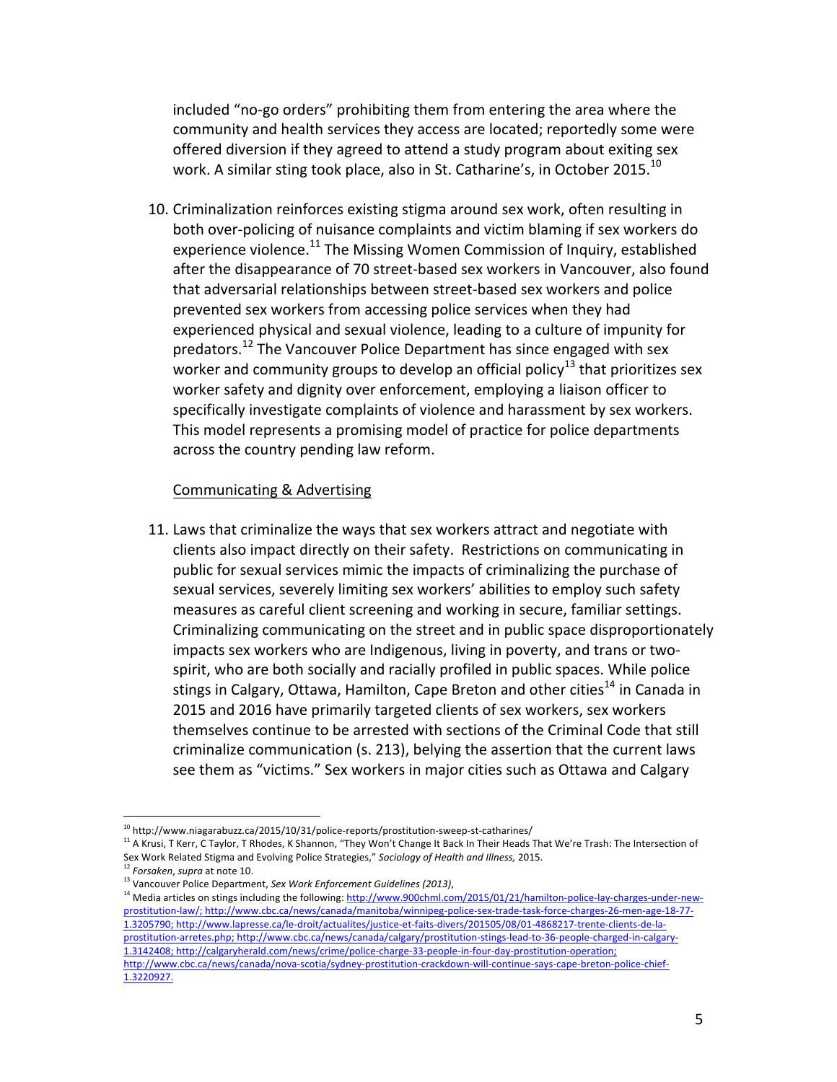included "no-go orders" prohibiting them from entering the area where the community and health services they access are located; reportedly some were offered diversion if they agreed to attend a study program about exiting sex work. A similar sting took place, also in St. Catharine's, in October 2015.<sup>10</sup>

10. Criminalization reinforces existing stigma around sex work, often resulting in both over-policing of nuisance complaints and victim blaming if sex workers do experience violence.<sup>11</sup> The Missing Women Commission of Inquiry, established after the disappearance of 70 street-based sex workers in Vancouver, also found that adversarial relationships between street-based sex workers and police prevented sex workers from accessing police services when they had experienced physical and sexual violence, leading to a culture of impunity for predators.<sup>12</sup> The Vancouver Police Department has since engaged with sex worker and community groups to develop an official policy<sup>13</sup> that prioritizes sex worker safety and dignity over enforcement, employing a liaison officer to specifically investigate complaints of violence and harassment by sex workers. This model represents a promising model of practice for police departments across the country pending law reform.

#### Communicating & Advertising

11. Laws that criminalize the ways that sex workers attract and negotiate with clients also impact directly on their safety. Restrictions on communicating in public for sexual services mimic the impacts of criminalizing the purchase of sexual services, severely limiting sex workers' abilities to employ such safety measures as careful client screening and working in secure, familiar settings. Criminalizing communicating on the street and in public space disproportionately impacts sex workers who are Indigenous, living in poverty, and trans or twospirit, who are both socially and racially profiled in public spaces. While police stings in Calgary, Ottawa, Hamilton, Cape Breton and other cities<sup>14</sup> in Canada in 2015 and 2016 have primarily targeted clients of sex workers, sex workers themselves continue to be arrested with sections of the Criminal Code that still criminalize communication (s. 213), belying the assertion that the current laws see them as "victims." Sex workers in major cities such as Ottawa and Calgary

  $^{10}$  http://www.niagarabuzz.ca/2015/10/31/police-reports/prostitution-sweep-st-catharines/

<sup>&</sup>lt;sup>11</sup> A Krusi, T Kerr, C Taylor, T Rhodes, K Shannon, "They Won't Change It Back In Their Heads That We're Trash: The Intersection of Sex Work Related Stigma and Evolving Police Strategies," Sociology of Health and Illness, 2015.

<sup>&</sup>lt;sup>12</sup> Forsaken, supra at note 10.

<sup>&</sup>lt;sup>13</sup> Vancouver Police Department, Sex Work Enforcement Guidelines (2013),

<sup>&</sup>lt;sup>14</sup> Media articles on stings including the following: http://www.900chml.com/2015/01/21/hamilton-police-lay-charges-under-newprostitution-law/; http://www.cbc.ca/news/canada/manitoba/winnipeg-police-sex-trade-task-force-charges-26-men-age-18-77-1.3205790; http://www.lapresse.ca/le-droit/actualites/justice-et-faits-divers/201505/08/01-4868217-trente-clients-de-laprostitution-arretes.php; http://www.cbc.ca/news/canada/calgary/prostitution-stings-lead-to-36-people-charged-in-calgary-1.3142408; http://calgaryherald.com/news/crime/police-charge-33-people-in-four-day-prostitution-operation; http://www.cbc.ca/news/canada/nova-scotia/sydney-prostitution-crackdown-will-continue-says-cape-breton-police-chief-1.3220927.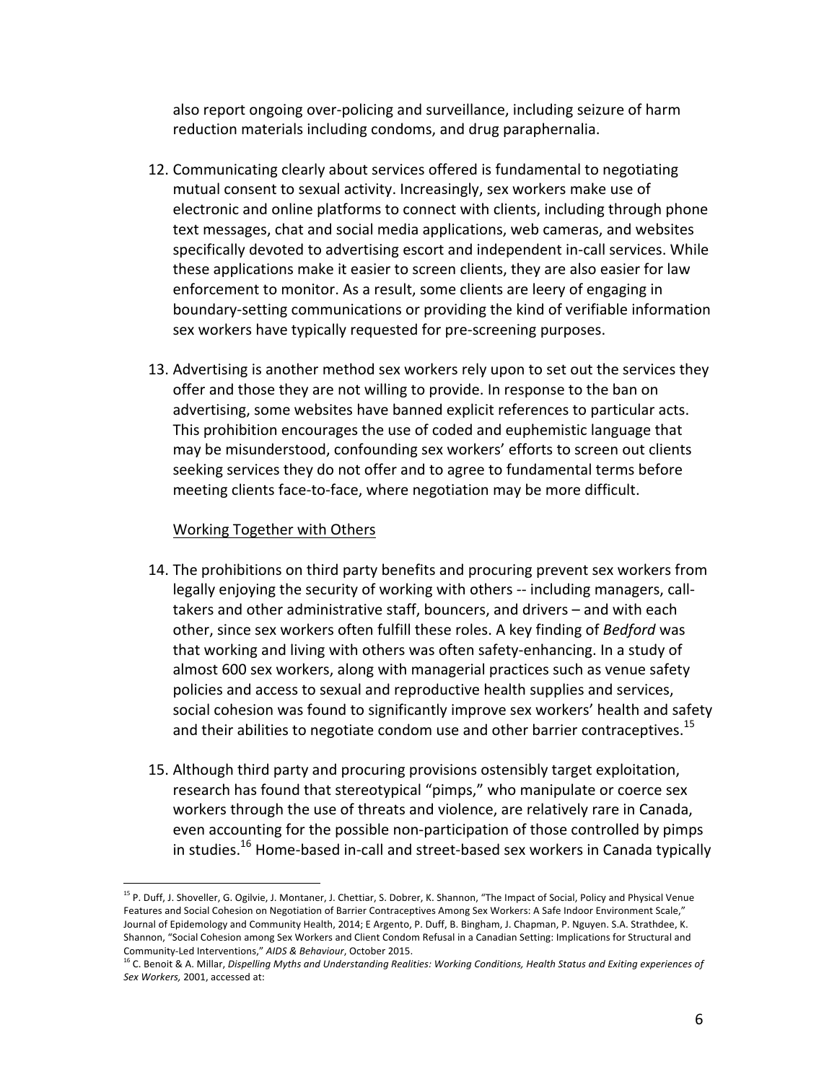also report ongoing over-policing and surveillance, including seizure of harm reduction materials including condoms, and drug paraphernalia.

- 12. Communicating clearly about services offered is fundamental to negotiating mutual consent to sexual activity. Increasingly, sex workers make use of electronic and online platforms to connect with clients, including through phone text messages, chat and social media applications, web cameras, and websites specifically devoted to advertising escort and independent in-call services. While these applications make it easier to screen clients, they are also easier for law enforcement to monitor. As a result, some clients are leery of engaging in boundary-setting communications or providing the kind of verifiable information sex workers have typically requested for pre-screening purposes.
- 13. Advertising is another method sex workers rely upon to set out the services they offer and those they are not willing to provide. In response to the ban on advertising, some websites have banned explicit references to particular acts. This prohibition encourages the use of coded and euphemistic language that may be misunderstood, confounding sex workers' efforts to screen out clients seeking services they do not offer and to agree to fundamental terms before meeting clients face-to-face, where negotiation may be more difficult.

#### Working Together with Others

- 14. The prohibitions on third party benefits and procuring prevent sex workers from legally enjoying the security of working with others -- including managers, calltakers and other administrative staff, bouncers, and drivers – and with each other, since sex workers often fulfill these roles. A key finding of *Bedford* was that working and living with others was often safety-enhancing. In a study of almost 600 sex workers, along with managerial practices such as venue safety policies and access to sexual and reproductive health supplies and services, social cohesion was found to significantly improve sex workers' health and safety and their abilities to negotiate condom use and other barrier contraceptives.<sup>15</sup>
- 15. Although third party and procuring provisions ostensibly target exploitation, research has found that stereotypical "pimps," who manipulate or coerce sex workers through the use of threats and violence, are relatively rare in Canada, even accounting for the possible non-participation of those controlled by pimps in studies.<sup>16</sup> Home-based in-call and street-based sex workers in Canada typically

<sup>&</sup>lt;sup>15</sup> P. Duff, J. Shoveller, G. Ogilvie, J. Montaner, J. Chettiar, S. Dobrer, K. Shannon, "The Impact of Social, Policy and Physical Venue Features and Social Cohesion on Negotiation of Barrier Contraceptives Among Sex Workers: A Safe Indoor Environment Scale," Journal of Epidemology and Community Health, 2014; E Argento, P. Duff, B. Bingham, J. Chapman, P. Nguyen. S.A. Strathdee, K. Shannon, "Social Cohesion among Sex Workers and Client Condom Refusal in a Canadian Setting: Implications for Structural and Community-Led Interventions," AIDS & Behaviour, October 2015.

<sup>&</sup>lt;sup>16</sup> C. Benoit & A. Millar, Dispelling Myths and Understanding Realities: Working Conditions, Health Status and Exiting experiences of Sex Workers, 2001, accessed at: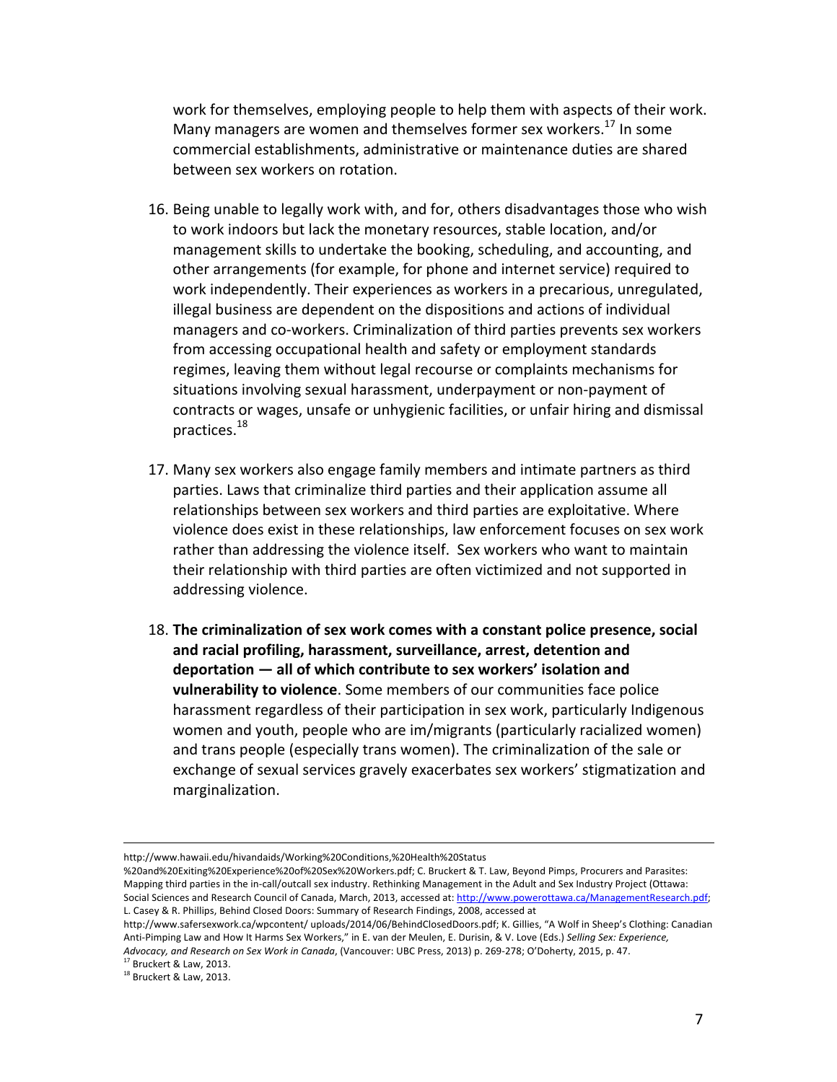work for themselves, employing people to help them with aspects of their work. Many managers are women and themselves former sex workers.<sup>17</sup> In some commercial establishments, administrative or maintenance duties are shared between sex workers on rotation.

- 16. Being unable to legally work with, and for, others disadvantages those who wish to work indoors but lack the monetary resources, stable location, and/or management skills to undertake the booking, scheduling, and accounting, and other arrangements (for example, for phone and internet service) required to work independently. Their experiences as workers in a precarious, unregulated, illegal business are dependent on the dispositions and actions of individual managers and co-workers. Criminalization of third parties prevents sex workers from accessing occupational health and safety or employment standards regimes, leaving them without legal recourse or complaints mechanisms for situations involving sexual harassment, underpayment or non-payment of contracts or wages, unsafe or unhygienic facilities, or unfair hiring and dismissal practices.18
- 17. Many sex workers also engage family members and intimate partners as third parties. Laws that criminalize third parties and their application assume all relationships between sex workers and third parties are exploitative. Where violence does exist in these relationships, law enforcement focuses on sex work rather than addressing the violence itself. Sex workers who want to maintain their relationship with third parties are often victimized and not supported in addressing violence.
- 18. The criminalization of sex work comes with a constant police presence, social and racial profiling, harassment, surveillance, arrest, detention and deportation  $-$  all of which contribute to sex workers' isolation and **vulnerability to violence**. Some members of our communities face police harassment regardless of their participation in sex work, particularly Indigenous women and youth, people who are im/migrants (particularly racialized women) and trans people (especially trans women). The criminalization of the sale or exchange of sexual services gravely exacerbates sex workers' stigmatization and marginalization.

<u> 1989 - Jan Samuel Barbara, martxa a shekara tsa 1989 - An tsa 1989 - An tsa 1989 - An tsa 1989 - An tsa 198</u>

http://www.hawaii.edu/hivandaids/Working%20Conditions,%20Health%20Status

<sup>%20</sup>and%20Exiting%20Experience%20of%20Sex%20Workers.pdf; C. Bruckert & T. Law, Beyond Pimps, Procurers and Parasites: Mapping third parties in the in-call/outcall sex industry. Rethinking Management in the Adult and Sex Industry Project (Ottawa: Social Sciences and Research Council of Canada, March, 2013, accessed at: http://www.powerottawa.ca/ManagementResearch.pdf; L. Casey & R. Phillips, Behind Closed Doors: Summary of Research Findings, 2008, accessed at

http://www.safersexwork.ca/wpcontent/ uploads/2014/06/BehindClosedDoors.pdf; K. Gillies, "A Wolf in Sheep's Clothing: Canadian Anti-Pimping Law and How It Harms Sex Workers," in E. van der Meulen, E. Durisin, & V. Love (Eds.) Selling Sex: Experience, *Advocacy, and Research on Sex Work in Canada,* (Vancouver: UBC Press, 2013) p. 269-278; O'Doherty, 2015, p. 47.

Bruckert & Law, 2013.

 $^{18}$  Bruckert & Law, 2013.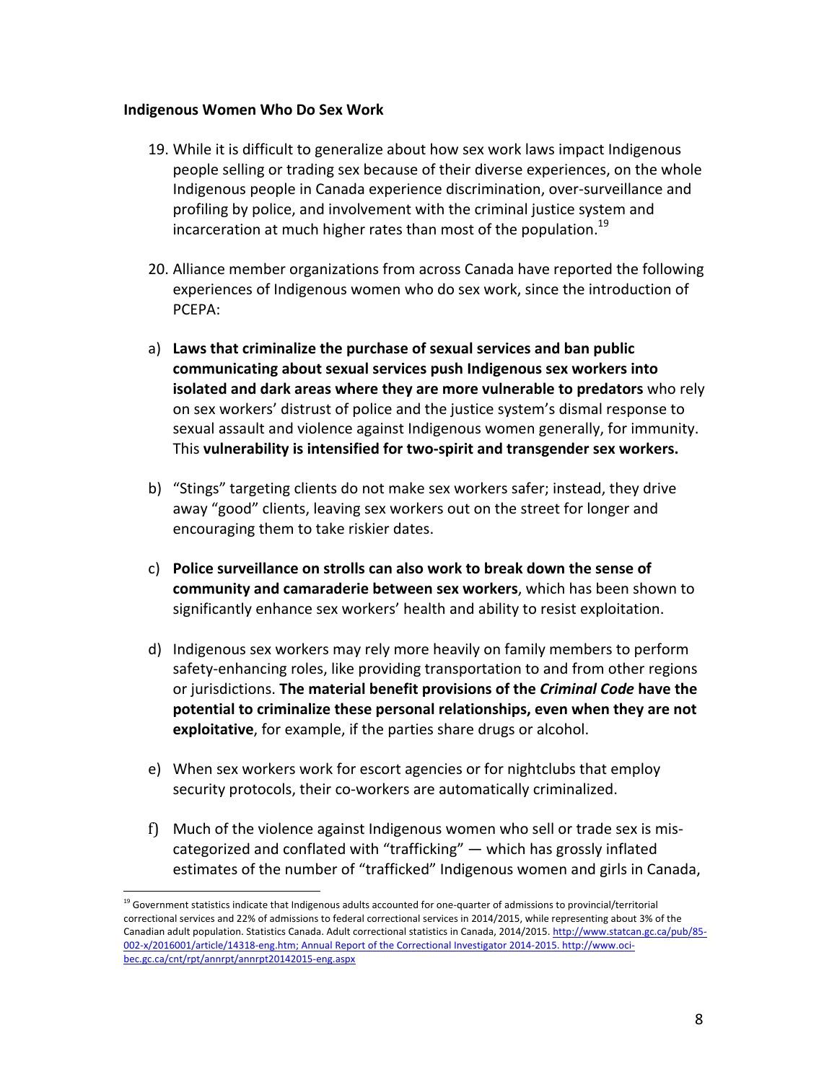# **Indigenous Women Who Do Sex Work**

 

- 19. While it is difficult to generalize about how sex work laws impact Indigenous people selling or trading sex because of their diverse experiences, on the whole Indigenous people in Canada experience discrimination, over-surveillance and profiling by police, and involvement with the criminal justice system and incarceration at much higher rates than most of the population.<sup>19</sup>
- 20. Alliance member organizations from across Canada have reported the following experiences of Indigenous women who do sex work, since the introduction of PCEPA:
- a) Laws that criminalize the purchase of sexual services and ban public communicating about sexual services push Indigenous sex workers into **isolated and dark areas where they are more vulnerable to predators** who rely on sex workers' distrust of police and the justice system's dismal response to sexual assault and violence against Indigenous women generally, for immunity. This vulnerability is intensified for two-spirit and transgender sex workers.
- b) "Stings" targeting clients do not make sex workers safer; instead, they drive away "good" clients, leaving sex workers out on the street for longer and encouraging them to take riskier dates.
- c) Police surveillance on strolls can also work to break down the sense of **community and camaraderie between sex workers**, which has been shown to significantly enhance sex workers' health and ability to resist exploitation.
- d) Indigenous sex workers may rely more heavily on family members to perform safety-enhancing roles, like providing transportation to and from other regions or jurisdictions. The material benefit provisions of the *Criminal Code* have the potential to criminalize these personal relationships, even when they are not **exploitative**, for example, if the parties share drugs or alcohol.
- e) When sex workers work for escort agencies or for nightclubs that employ security protocols, their co-workers are automatically criminalized.
- f) Much of the violence against Indigenous women who sell or trade sex is miscategorized and conflated with "trafficking"  $-$  which has grossly inflated estimates of the number of "trafficked" Indigenous women and girls in Canada,

<sup>&</sup>lt;sup>19</sup> Government statistics indicate that Indigenous adults accounted for one-quarter of admissions to provincial/territorial correctional services and 22% of admissions to federal correctional services in 2014/2015, while representing about 3% of the Canadian adult population. Statistics Canada. Adult correctional statistics in Canada, 2014/2015. http://www.statcan.gc.ca/pub/85-002-x/2016001/article/14318-eng.htm; Annual Report of the Correctional Investigator 2014-2015. http://www.ocibec.gc.ca/cnt/rpt/annrpt/annrpt20142015-eng.aspx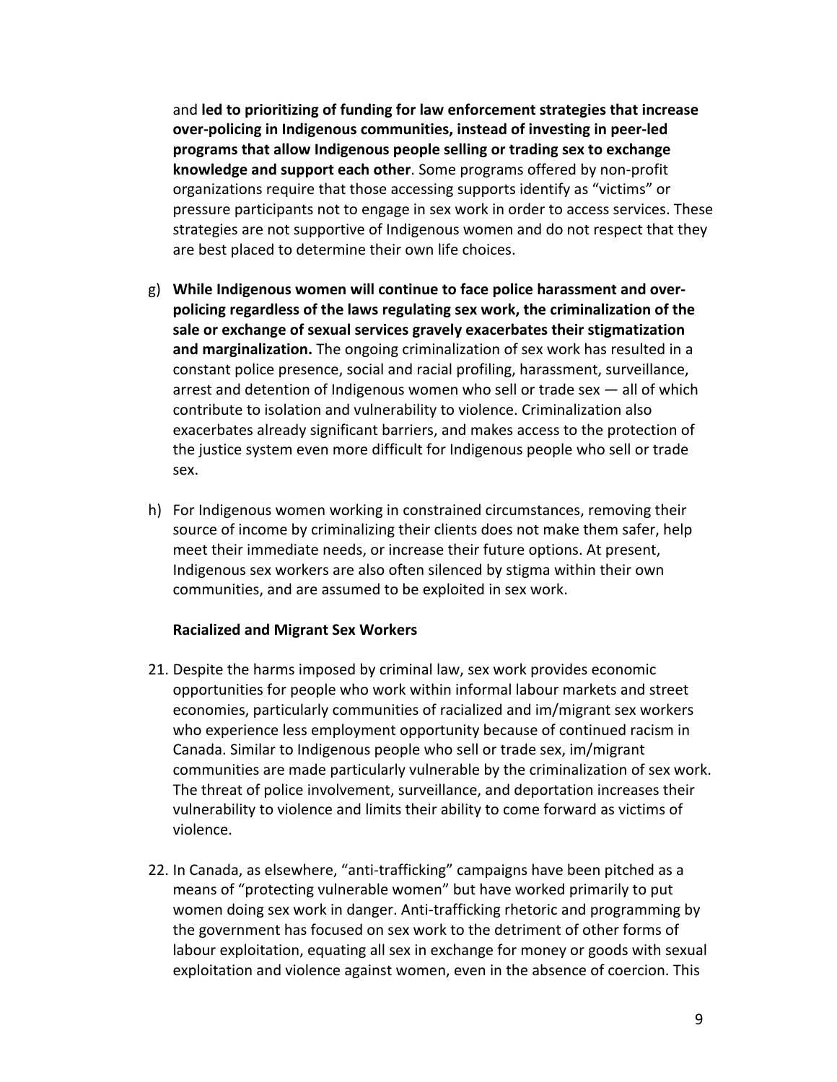and led to prioritizing of funding for law enforcement strategies that increase over-policing in Indigenous communities, instead of investing in peer-led programs that allow Indigenous people selling or trading sex to exchange **knowledge and support each other**. Some programs offered by non-profit organizations require that those accessing supports identify as "victims" or pressure participants not to engage in sex work in order to access services. These strategies are not supportive of Indigenous women and do not respect that they are best placed to determine their own life choices.

- g) While Indigenous women will continue to face police harassment and overpolicing regardless of the laws regulating sex work, the criminalization of the sale or exchange of sexual services gravely exacerbates their stigmatization **and marginalization.** The ongoing criminalization of sex work has resulted in a constant police presence, social and racial profiling, harassment, surveillance, arrest and detention of Indigenous women who sell or trade sex  $-$  all of which contribute to isolation and vulnerability to violence. Criminalization also exacerbates already significant barriers, and makes access to the protection of the justice system even more difficult for Indigenous people who sell or trade sex.
- h) For Indigenous women working in constrained circumstances, removing their source of income by criminalizing their clients does not make them safer, help meet their immediate needs, or increase their future options. At present, Indigenous sex workers are also often silenced by stigma within their own communities, and are assumed to be exploited in sex work.

### **Racialized and Migrant Sex Workers**

- 21. Despite the harms imposed by criminal law, sex work provides economic opportunities for people who work within informal labour markets and street economies, particularly communities of racialized and im/migrant sex workers who experience less employment opportunity because of continued racism in Canada. Similar to Indigenous people who sell or trade sex, im/migrant communities are made particularly vulnerable by the criminalization of sex work. The threat of police involvement, surveillance, and deportation increases their vulnerability to violence and limits their ability to come forward as victims of violence.
- 22. In Canada, as elsewhere, "anti-trafficking" campaigns have been pitched as a means of "protecting vulnerable women" but have worked primarily to put women doing sex work in danger. Anti-trafficking rhetoric and programming by the government has focused on sex work to the detriment of other forms of labour exploitation, equating all sex in exchange for money or goods with sexual exploitation and violence against women, even in the absence of coercion. This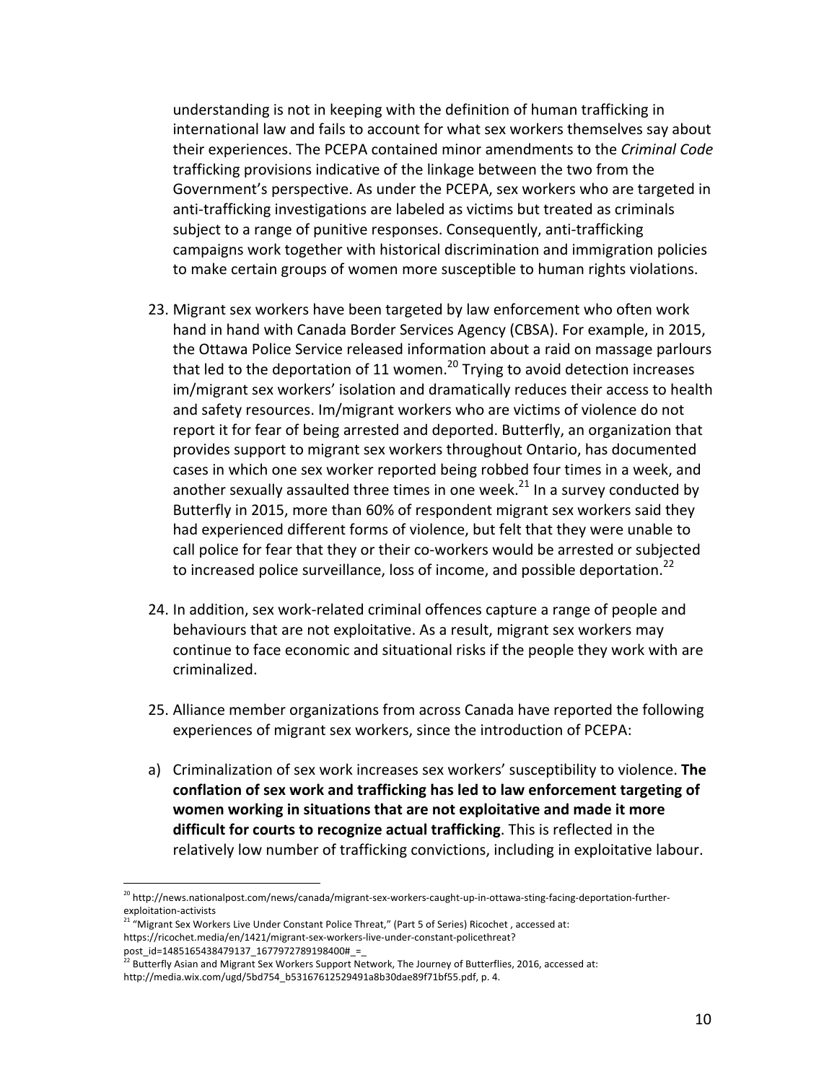understanding is not in keeping with the definition of human trafficking in international law and fails to account for what sex workers themselves say about their experiences. The PCEPA contained minor amendments to the *Criminal Code* trafficking provisions indicative of the linkage between the two from the Government's perspective. As under the PCEPA, sex workers who are targeted in anti-trafficking investigations are labeled as victims but treated as criminals subject to a range of punitive responses. Consequently, anti-trafficking campaigns work together with historical discrimination and immigration policies to make certain groups of women more susceptible to human rights violations.

- 23. Migrant sex workers have been targeted by law enforcement who often work hand in hand with Canada Border Services Agency (CBSA). For example, in 2015, the Ottawa Police Service released information about a raid on massage parlours that led to the deportation of 11 women.<sup>20</sup> Trying to avoid detection increases im/migrant sex workers' isolation and dramatically reduces their access to health and safety resources. Im/migrant workers who are victims of violence do not report it for fear of being arrested and deported. Butterfly, an organization that provides support to migrant sex workers throughout Ontario, has documented cases in which one sex worker reported being robbed four times in a week, and another sexually assaulted three times in one week.<sup>21</sup> In a survey conducted by Butterfly in 2015, more than 60% of respondent migrant sex workers said they had experienced different forms of violence, but felt that they were unable to call police for fear that they or their co-workers would be arrested or subjected to increased police surveillance, loss of income, and possible deportation.<sup>22</sup>
- 24. In addition, sex work-related criminal offences capture a range of people and behaviours that are not exploitative. As a result, migrant sex workers may continue to face economic and situational risks if the people they work with are criminalized.
- 25. Alliance member organizations from across Canada have reported the following experiences of migrant sex workers, since the introduction of PCEPA:
- a) Criminalization of sex work increases sex workers' susceptibility to violence. The conflation of sex work and trafficking has led to law enforcement targeting of women working in situations that are not exploitative and made it more **difficult for courts to recognize actual trafficking**. This is reflected in the relatively low number of trafficking convictions, including in exploitative labour.

<sup>&</sup>lt;sup>20</sup> http://news.nationalpost.com/news/canada/migrant-sex-workers-caught-up-in-ottawa-sting-facing-deportation-furtherexploitation-activists

<sup>&</sup>lt;sup>21</sup> "Migrant Sex Workers Live Under Constant Police Threat," (Part 5 of Series) Ricochet, accessed at: https://ricochet.media/en/1421/migrant-sex-workers-live-under-constant-policethreat?

post\_id=1485165438479137\_1677972789198400#\_=\_

Butterfly Asian and Migrant Sex Workers Support Network, The Journey of Butterflies, 2016, accessed at: http://media.wix.com/ugd/5bd754\_b53167612529491a8b30dae89f71bf55.pdf, p. 4.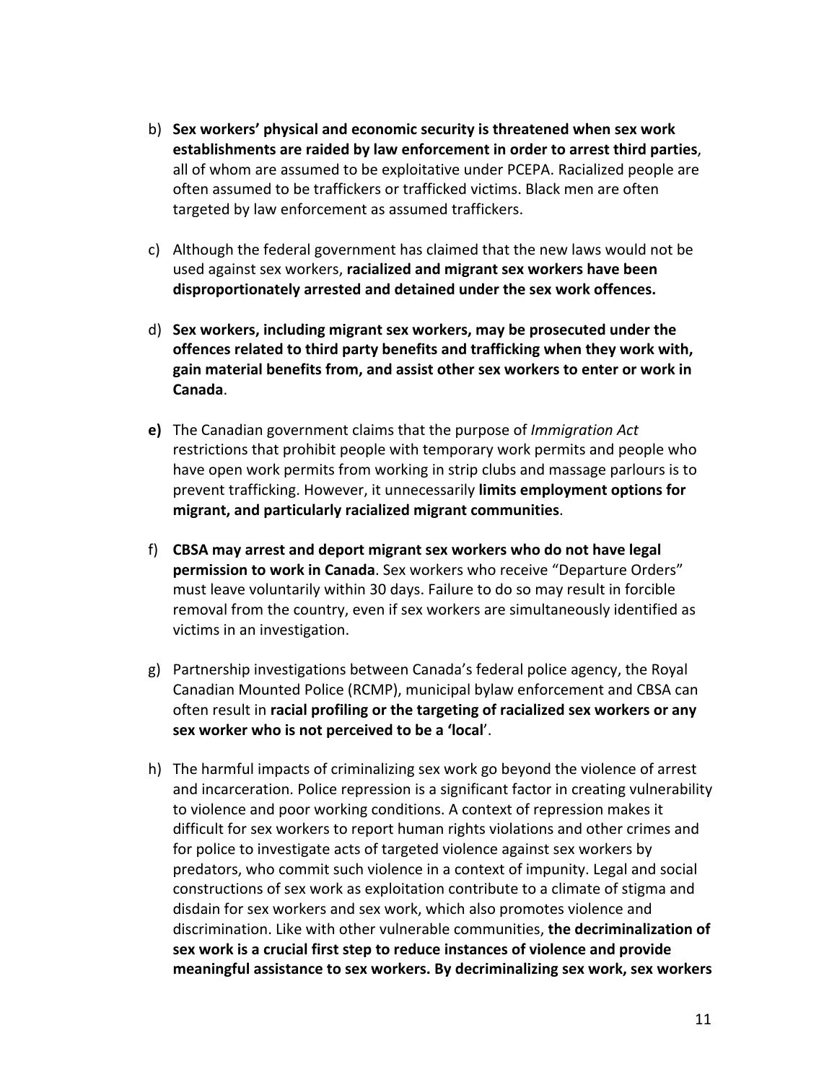- b) **Sex workers' physical and economic security is threatened when sex work** establishments are raided by law enforcement in order to arrest third parties, all of whom are assumed to be exploitative under PCEPA. Racialized people are often assumed to be traffickers or trafficked victims. Black men are often targeted by law enforcement as assumed traffickers.
- c) Although the federal government has claimed that the new laws would not be used against sex workers, **racialized and migrant sex workers have been disproportionately arrested and detained under the sex work offences.**
- d) Sex workers, including migrant sex workers, may be prosecuted under the offences related to third party benefits and trafficking when they work with, gain material benefits from, and assist other sex workers to enter or work in **Canada**.
- **e)** The Canadian government claims that the purpose of *Immigration Act* restrictions that prohibit people with temporary work permits and people who have open work permits from working in strip clubs and massage parlours is to prevent trafficking. However, it unnecessarily **limits employment options for migrant, and particularly racialized migrant communities**.
- f) **CBSA** may arrest and deport migrant sex workers who do not have legal **permission to work in Canada**. Sex workers who receive "Departure Orders" must leave voluntarily within 30 days. Failure to do so may result in forcible removal from the country, even if sex workers are simultaneously identified as victims in an investigation.
- g) Partnership investigations between Canada's federal police agency, the Royal Canadian Mounted Police (RCMP), municipal bylaw enforcement and CBSA can often result in **racial profiling or the targeting of racialized sex workers or any** sex worker who is not perceived to be a 'local'.
- h) The harmful impacts of criminalizing sex work go beyond the violence of arrest and incarceration. Police repression is a significant factor in creating vulnerability to violence and poor working conditions. A context of repression makes it difficult for sex workers to report human rights violations and other crimes and for police to investigate acts of targeted violence against sex workers by predators, who commit such violence in a context of impunity. Legal and social constructions of sex work as exploitation contribute to a climate of stigma and disdain for sex workers and sex work, which also promotes violence and discrimination. Like with other vulnerable communities, the decriminalization of sex work is a crucial first step to reduce instances of violence and provide meaningful assistance to sex workers. By decriminalizing sex work, sex workers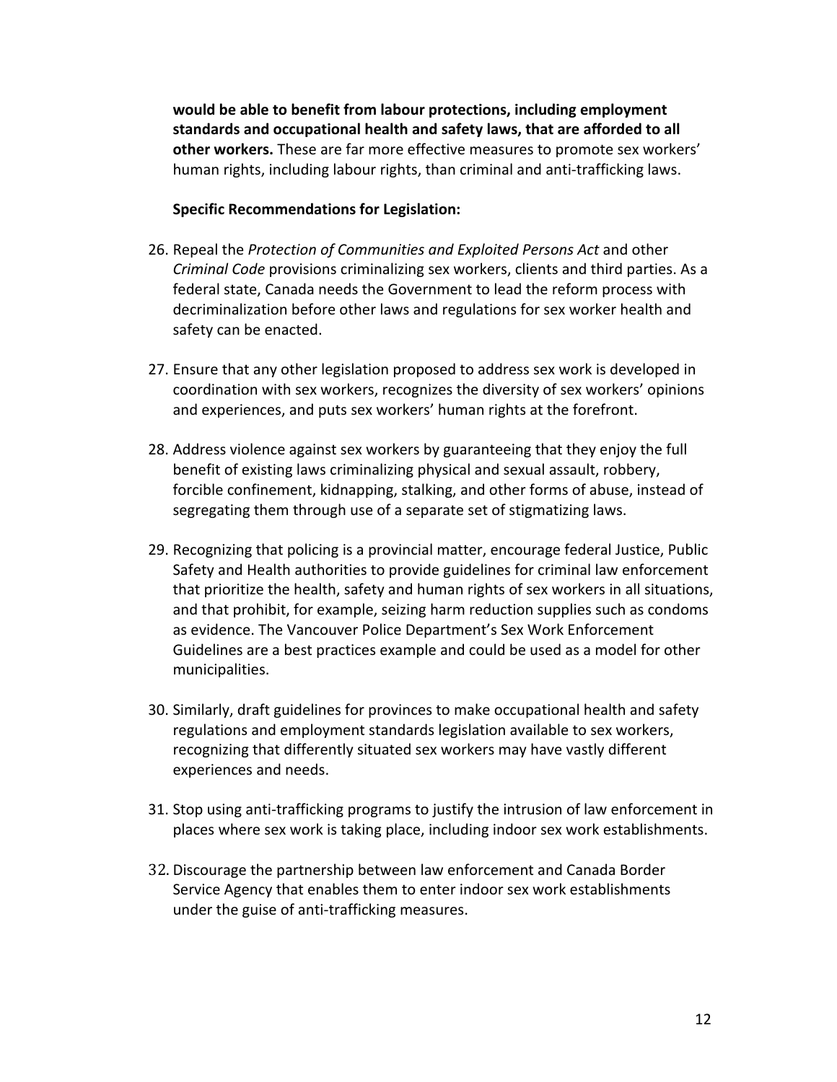would be able to benefit from labour protections, including employment standards and occupational health and safety laws, that are afforded to all other workers. These are far more effective measures to promote sex workers' human rights, including labour rights, than criminal and anti-trafficking laws.

# **Specific Recommendations for Legislation:**

- 26. Repeal the *Protection of Communities and Exploited Persons Act* and other *Criminal Code* provisions criminalizing sex workers, clients and third parties. As a federal state, Canada needs the Government to lead the reform process with decriminalization before other laws and regulations for sex worker health and safety can be enacted.
- 27. Ensure that any other legislation proposed to address sex work is developed in coordination with sex workers, recognizes the diversity of sex workers' opinions and experiences, and puts sex workers' human rights at the forefront.
- 28. Address violence against sex workers by guaranteeing that they enjoy the full benefit of existing laws criminalizing physical and sexual assault, robbery, forcible confinement, kidnapping, stalking, and other forms of abuse, instead of segregating them through use of a separate set of stigmatizing laws.
- 29. Recognizing that policing is a provincial matter, encourage federal Justice, Public Safety and Health authorities to provide guidelines for criminal law enforcement that prioritize the health, safety and human rights of sex workers in all situations, and that prohibit, for example, seizing harm reduction supplies such as condoms as evidence. The Vancouver Police Department's Sex Work Enforcement Guidelines are a best practices example and could be used as a model for other municipalities.
- 30. Similarly, draft guidelines for provinces to make occupational health and safety regulations and employment standards legislation available to sex workers, recognizing that differently situated sex workers may have vastly different experiences and needs.
- 31. Stop using anti-trafficking programs to justify the intrusion of law enforcement in places where sex work is taking place, including indoor sex work establishments.
- 32. Discourage the partnership between law enforcement and Canada Border Service Agency that enables them to enter indoor sex work establishments under the guise of anti-trafficking measures.